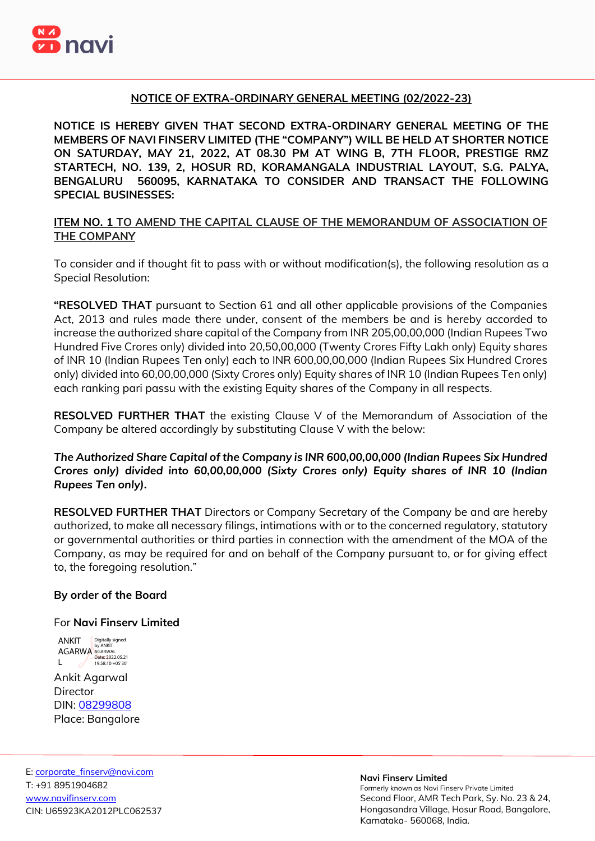

## **NOTICE OF EXTRA-ORDINARY GENERAL MEETING (02/2022-23)**

**NOTICE IS HEREBY GIVEN THAT SECOND EXTRA-ORDINARY GENERAL MEETING OF THE MEMBERS OF NAVI FINSERV LIMITED (THE "COMPANY") WILL BE HELD AT SHORTER NOTICE ON SATURDAY, MAY 21, 2022, AT 08.30 PM AT WING B, 7TH FLOOR, PRESTIGE RMZ STARTECH, NO. 139, 2, HOSUR RD, KORAMANGALA INDUSTRIAL LAYOUT, S.G. PALYA, BENGALURU 560095, KARNATAKA TO CONSIDER AND TRANSACT THE FOLLOWING SPECIAL BUSINESSES:** 

## **ITEM NO. 1 TO AMEND THE CAPITAL CLAUSE OF THE MEMORANDUM OF ASSOCIATION OF THE COMPANY**

To consider and if thought fit to pass with or without modification(s), the following resolution as a Special Resolution:

**"RESOLVED THAT** pursuant to Section 61 and all other applicable provisions of the Companies Act, 2013 and rules made there under, consent of the members be and is hereby accorded to increase the authorized share capital of the Company from INR 205,00,00,000 (Indian Rupees Two Hundred Five Crores only) divided into 20,50,00,000 (Twenty Crores Fifty Lakh only) Equity shares of INR 10 (Indian Rupees Ten only) each to INR 600,00,00,000 (Indian Rupees Six Hundred Crores only) divided into 60,00,00,000 (Sixty Crores only) Equity shares of INR 10 (Indian Rupees Ten only) each ranking pari passu with the existing Equity shares of the Company in all respects.

**RESOLVED FURTHER THAT** the existing Clause V of the Memorandum of Association of the Company be altered accordingly by substituting Clause V with the below:

*The Authorized Share Capital of the Company is INR 600,00,00,000 (Indian Rupees Six Hundred Crores only) divided into 60,00,00,000 (Sixty Crores only) Equity shares of INR 10 (Indian Rupees Ten only).*

**RESOLVED FURTHER THAT** Directors or Company Secretary of the Company be and are hereby authorized, to make all necessary filings, intimations with or to the concerned regulatory, statutory or governmental authorities or third parties in connection with the amendment of the MOA of the Company, as may be required for and on behalf of the Company pursuant to, or for giving effect to, the foregoing resolution."

## **By order of the Board**

## For **Navi Finserv Limited**

Ankit Agarwal **Director** DIN: [08299808](https://www.mca.gov.in/mcafoportal/companyLLPMasterData.do) Place: Bangalore ANKIT **Digitally signed** AGARWA AGARWAL  $\blacksquare$ Date: 2022.05.21 19:58:10 +05'30'

#### **Navi Finserv Limited**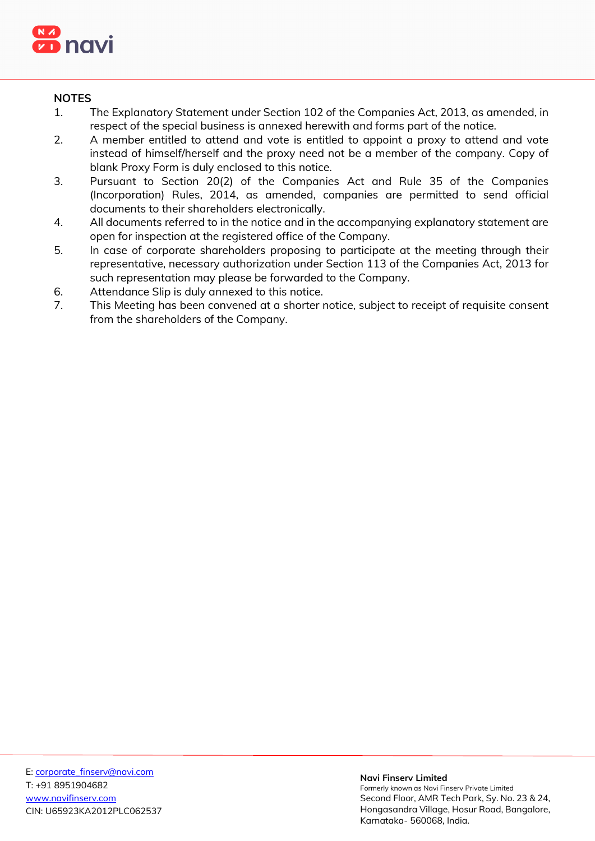

# **NOTES**

- 1. The Explanatory Statement under Section 102 of the Companies Act, 2013, as amended, in respect of the special business is annexed herewith and forms part of the notice.
- 2. A member entitled to attend and vote is entitled to appoint a proxy to attend and vote instead of himself/herself and the proxy need not be a member of the company. Copy of blank Proxy Form is duly enclosed to this notice.
- 3. Pursuant to Section 20(2) of the Companies Act and Rule 35 of the Companies (Incorporation) Rules, 2014, as amended, companies are permitted to send official documents to their shareholders electronically.
- 4. All documents referred to in the notice and in the accompanying explanatory statement are open for inspection at the registered office of the Company.
- 5. In case of corporate shareholders proposing to participate at the meeting through their representative, necessary authorization under Section 113 of the Companies Act, 2013 for such representation may please be forwarded to the Company.
- 6. Attendance Slip is duly annexed to this notice.
- 7. This Meeting has been convened at a shorter notice, subject to receipt of requisite consent from the shareholders of the Company.

#### **Navi Finserv Limited**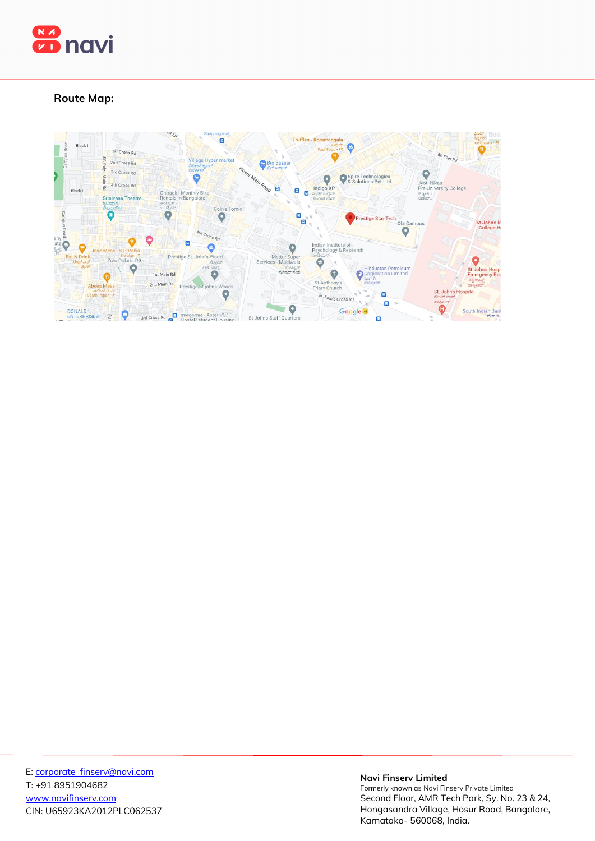

# **Route Map:**



#### **Navi Finserv Limited**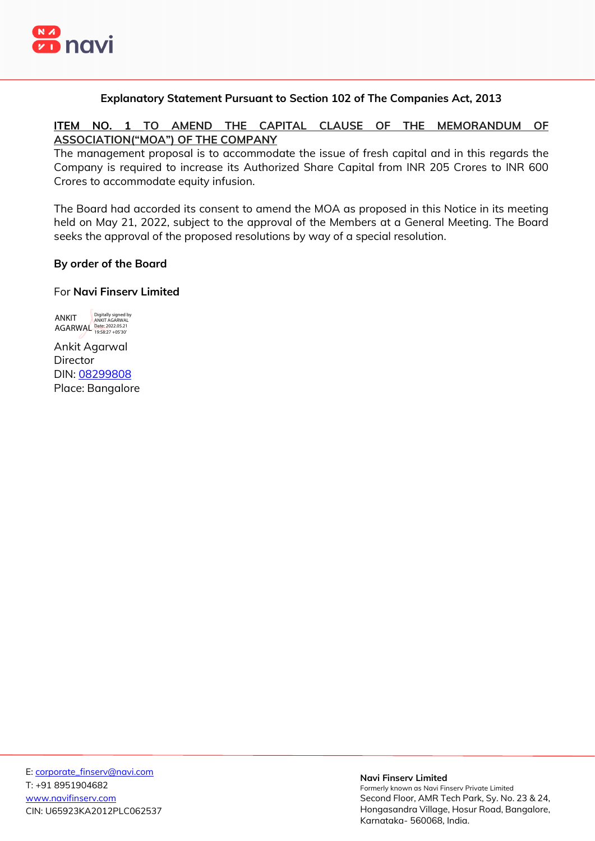

## **Explanatory Statement Pursuant to Section 102 of The Companies Act, 2013**

**ITEM NO. 1 TO AMEND THE CAPITAL CLAUSE OF THE MEMORANDUM OF ASSOCIATION("MOA") OF THE COMPANY** 

The management proposal is to accommodate the issue of fresh capital and in this regards the Company is required to increase its Authorized Share Capital from INR 205 Crores to INR 600 Crores to accommodate equity infusion.

The Board had accorded its consent to amend the MOA as proposed in this Notice in its meeting held on May 21, 2022, subject to the approval of the Members at a General Meeting. The Board seeks the approval of the proposed resolutions by way of a special resolution.

## **By order of the Board**

### For **Navi Finserv Limited**

ANKIT AGARWAL Date: 2022.05.21 19:58:27 +05'30'Digitally signed by ANKIT AGARWAL

Ankit Agarwal **Director** DIN: [08299808](https://www.mca.gov.in/mcafoportal/companyLLPMasterData.do)  Place: Bangalore

#### **Navi Finserv Limited**